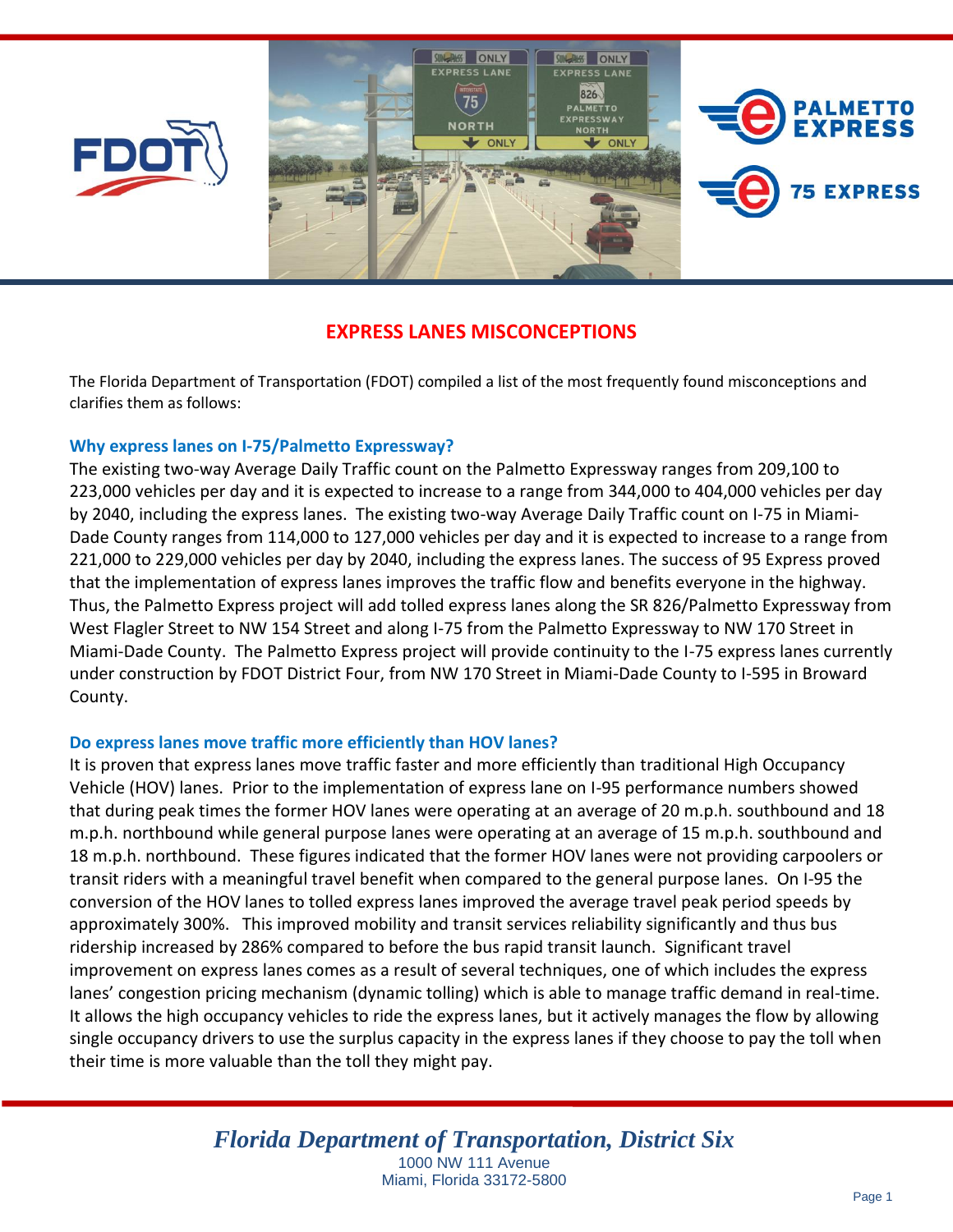





# **EXPRESS LANES MISCONCEPTIONS**

The Florida Department of Transportation (FDOT) compiled a list of the most frequently found misconceptions and clarifies them as follows:

# **Why express lanes on I-75/Palmetto Expressway?**

The existing two-way Average Daily Traffic count on the Palmetto Expressway ranges from 209,100 to 223,000 vehicles per day and it is expected to increase to a range from 344,000 to 404,000 vehicles per day by 2040, including the express lanes. The existing two-way Average Daily Traffic count on I-75 in Miami-Dade County ranges from 114,000 to 127,000 vehicles per day and it is expected to increase to a range from 221,000 to 229,000 vehicles per day by 2040, including the express lanes. The success of 95 Express proved that the implementation of express lanes improves the traffic flow and benefits everyone in the highway. Thus, the Palmetto Express project will add tolled express lanes along the SR 826/Palmetto Expressway from West Flagler Street to NW 154 Street and along I-75 from the Palmetto Expressway to NW 170 Street in Miami-Dade County. The Palmetto Express project will provide continuity to the I-75 express lanes currently under construction by FDOT District Four, from NW 170 Street in Miami-Dade County to I-595 in Broward County.

## **Do express lanes move traffic more efficiently than HOV lanes?**

It is proven that express lanes move traffic faster and more efficiently than traditional High Occupancy Vehicle (HOV) lanes. Prior to the implementation of express lane on I-95 performance numbers showed that during peak times the former HOV lanes were operating at an average of 20 m.p.h. southbound and 18 m.p.h. northbound while general purpose lanes were operating at an average of 15 m.p.h. southbound and 18 m.p.h. northbound. These figures indicated that the former HOV lanes were not providing carpoolers or transit riders with a meaningful travel benefit when compared to the general purpose lanes. On I-95 the conversion of the HOV lanes to tolled express lanes improved the average travel peak period speeds by approximately 300%. This improved mobility and transit services reliability significantly and thus bus ridership increased by 286% compared to before the bus rapid transit launch. Significant travel improvement on express lanes comes as a result of several techniques, one of which includes the express lanes' congestion pricing mechanism (dynamic tolling) which is able to manage traffic demand in real-time. It allows the high occupancy vehicles to ride the express lanes, but it actively manages the flow by allowing single occupancy drivers to use the surplus capacity in the express lanes if they choose to pay the toll when their time is more valuable than the toll they might pay.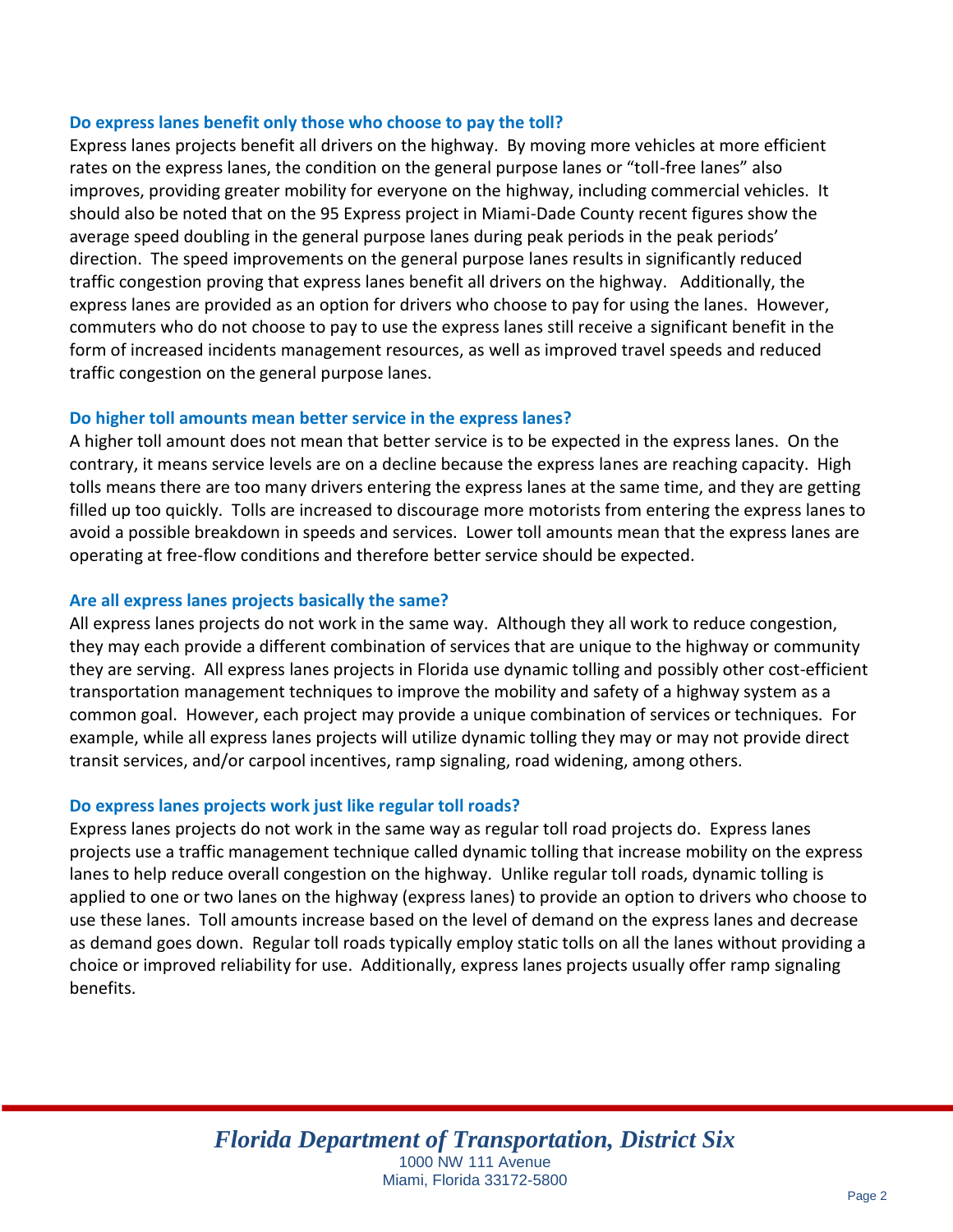# **Do express lanes benefit only those who choose to pay the toll?**

Express lanes projects benefit all drivers on the highway. By moving more vehicles at more efficient rates on the express lanes, the condition on the general purpose lanes or "toll-free lanes" also improves, providing greater mobility for everyone on the highway, including commercial vehicles. It should also be noted that on the 95 Express project in Miami-Dade County recent figures show the average speed doubling in the general purpose lanes during peak periods in the peak periods' direction. The speed improvements on the general purpose lanes results in significantly reduced traffic congestion proving that express lanes benefit all drivers on the highway. Additionally, the express lanes are provided as an option for drivers who choose to pay for using the lanes. However, commuters who do not choose to pay to use the express lanes still receive a significant benefit in the form of increased incidents management resources, as well as improved travel speeds and reduced traffic congestion on the general purpose lanes.

#### **Do higher toll amounts mean better service in the express lanes?**

A higher toll amount does not mean that better service is to be expected in the express lanes. On the contrary, it means service levels are on a decline because the express lanes are reaching capacity. High tolls means there are too many drivers entering the express lanes at the same time, and they are getting filled up too quickly. Tolls are increased to discourage more motorists from entering the express lanes to avoid a possible breakdown in speeds and services. Lower toll amounts mean that the express lanes are operating at free-flow conditions and therefore better service should be expected.

## **Are all express lanes projects basically the same?**

All express lanes projects do not work in the same way. Although they all work to reduce congestion, they may each provide a different combination of services that are unique to the highway or community they are serving. All express lanes projects in Florida use dynamic tolling and possibly other cost-efficient transportation management techniques to improve the mobility and safety of a highway system as a common goal. However, each project may provide a unique combination of services or techniques. For example, while all express lanes projects will utilize dynamic tolling they may or may not provide direct transit services, and/or carpool incentives, ramp signaling, road widening, among others.

## **Do express lanes projects work just like regular toll roads?**

Express lanes projects do not work in the same way as regular toll road projects do. Express lanes projects use a traffic management technique called dynamic tolling that increase mobility on the express lanes to help reduce overall congestion on the highway. Unlike regular toll roads, dynamic tolling is applied to one or two lanes on the highway (express lanes) to provide an option to drivers who choose to use these lanes. Toll amounts increase based on the level of demand on the express lanes and decrease as demand goes down. Regular toll roads typically employ static tolls on all the lanes without providing a choice or improved reliability for use. Additionally, express lanes projects usually offer ramp signaling benefits.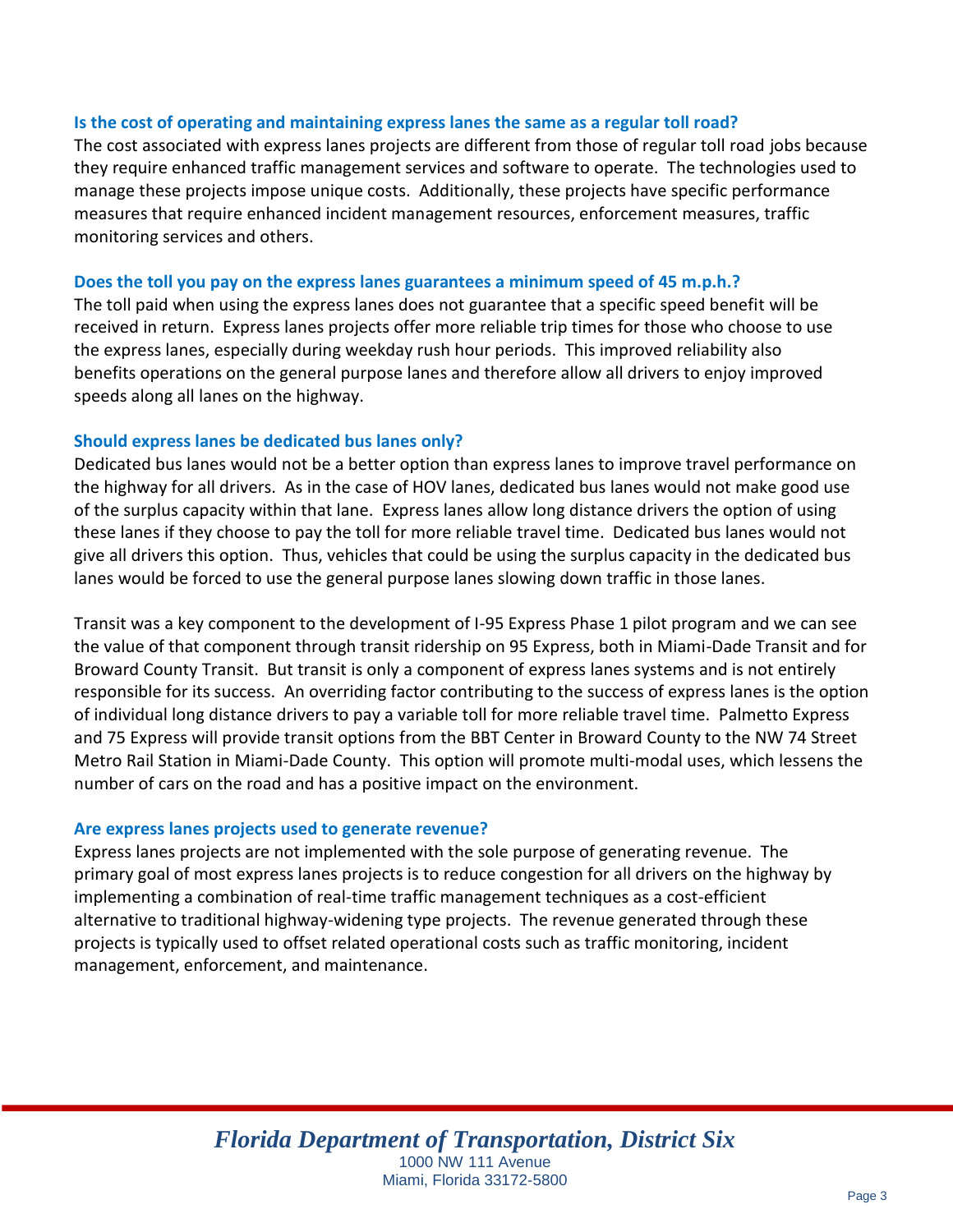#### **Is the cost of operating and maintaining express lanes the same as a regular toll road?**

The cost associated with express lanes projects are different from those of regular toll road jobs because they require enhanced traffic management services and software to operate. The technologies used to manage these projects impose unique costs. Additionally, these projects have specific performance measures that require enhanced incident management resources, enforcement measures, traffic monitoring services and others.

#### **Does the toll you pay on the express lanes guarantees a minimum speed of 45 m.p.h.?**

The toll paid when using the express lanes does not guarantee that a specific speed benefit will be received in return. Express lanes projects offer more reliable trip times for those who choose to use the express lanes, especially during weekday rush hour periods. This improved reliability also benefits operations on the general purpose lanes and therefore allow all drivers to enjoy improved speeds along all lanes on the highway.

#### **Should express lanes be dedicated bus lanes only?**

Dedicated bus lanes would not be a better option than express lanes to improve travel performance on the highway for all drivers. As in the case of HOV lanes, dedicated bus lanes would not make good use of the surplus capacity within that lane. Express lanes allow long distance drivers the option of using these lanes if they choose to pay the toll for more reliable travel time. Dedicated bus lanes would not give all drivers this option. Thus, vehicles that could be using the surplus capacity in the dedicated bus lanes would be forced to use the general purpose lanes slowing down traffic in those lanes.

Transit was a key component to the development of I-95 Express Phase 1 pilot program and we can see the value of that component through transit ridership on 95 Express, both in Miami-Dade Transit and for Broward County Transit. But transit is only a component of express lanes systems and is not entirely responsible for its success. An overriding factor contributing to the success of express lanes is the option of individual long distance drivers to pay a variable toll for more reliable travel time. Palmetto Express and 75 Express will provide transit options from the BBT Center in Broward County to the NW 74 Street Metro Rail Station in Miami-Dade County. This option will promote multi-modal uses, which lessens the number of cars on the road and has a positive impact on the environment.

## **Are express lanes projects used to generate revenue?**

Express lanes projects are not implemented with the sole purpose of generating revenue. The primary goal of most express lanes projects is to reduce congestion for all drivers on the highway by implementing a combination of real-time traffic management techniques as a cost-efficient alternative to traditional highway-widening type projects. The revenue generated through these projects is typically used to offset related operational costs such as traffic monitoring, incident management, enforcement, and maintenance.